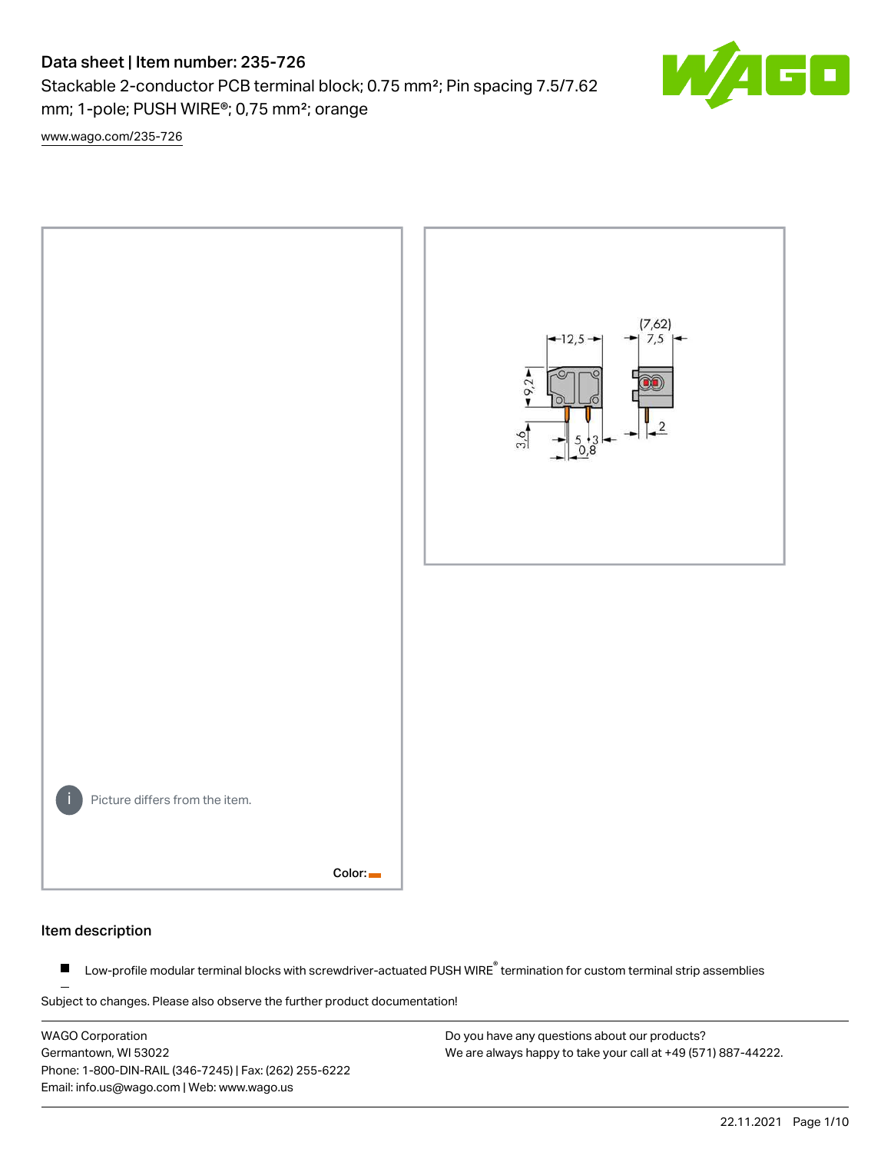# Data sheet | Item number: 235-726

Stackable 2-conductor PCB terminal block; 0.75 mm²; Pin spacing 7.5/7.62 mm; 1-pole; PUSH WIRE®; 0,75 mm²; orange

[www.wago.com/235-726](http://www.wago.com/235-726)



# Item description

Low-profile modular terminal blocks with screwdriver-actuated PUSH WIRE<sup>®</sup> termination for custom terminal strip assemblies  $\blacksquare$ 

Subject to changes. Please also observe the further product documentation!

WAGO Corporation Germantown, WI 53022 Phone: 1-800-DIN-RAIL (346-7245) | Fax: (262) 255-6222 Email: info.us@wago.com | Web: www.wago.us

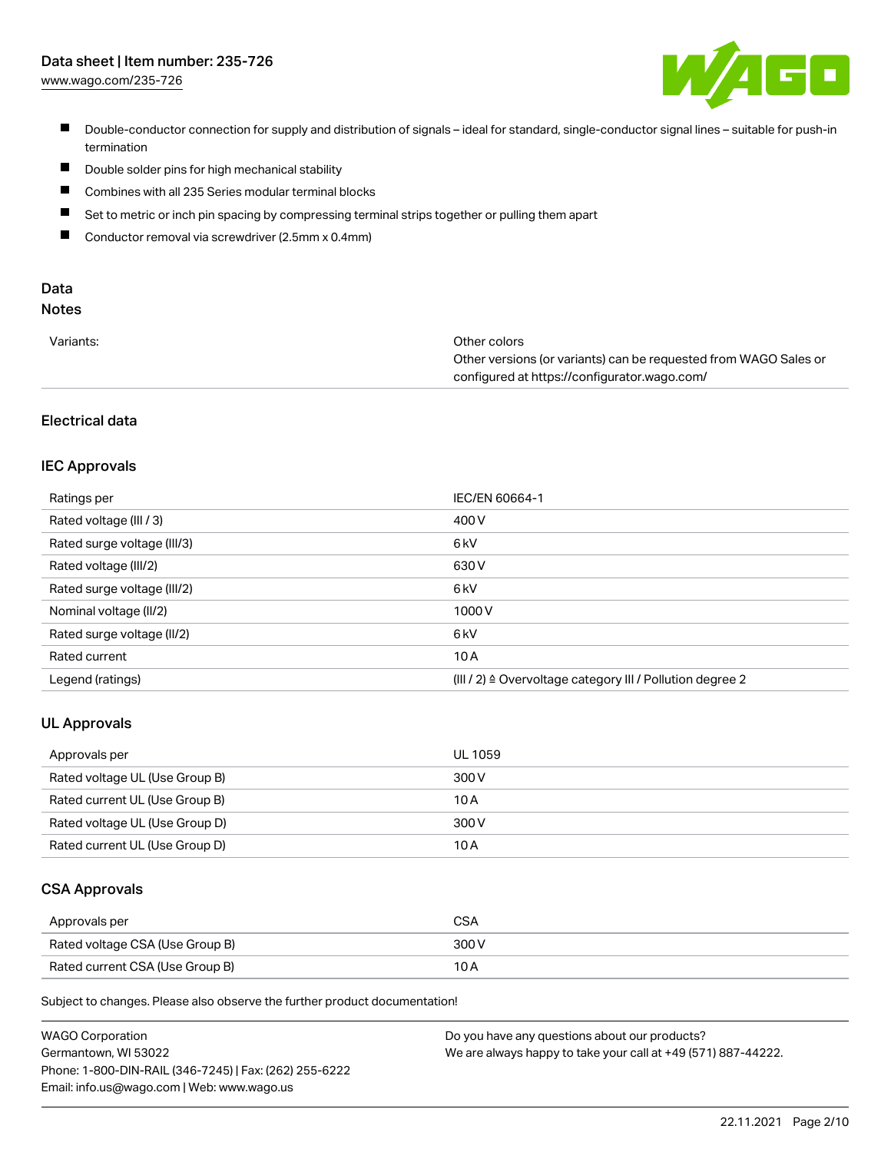# Data sheet | Item number: 235-726

[www.wago.com/235-726](http://www.wago.com/235-726)



- Double-conductor connection for supply and distribution of signals ideal for standard, single-conductor signal lines suitable for push-in termination
- $\blacksquare$ Double solder pins for high mechanical stability
- $\blacksquare$ Combines with all 235 Series modular terminal blocks
- $\blacksquare$ Set to metric or inch pin spacing by compressing terminal strips together or pulling them apart
- $\blacksquare$ Conductor removal via screwdriver (2.5mm x 0.4mm)

# Data

# Notes

| Variants: | Other colors                                                     |
|-----------|------------------------------------------------------------------|
|           | Other versions (or variants) can be requested from WAGO Sales or |
|           | configured at https://configurator.wago.com/                     |

# Electrical data

# IEC Approvals

| Ratings per                 | IEC/EN 60664-1                                                        |
|-----------------------------|-----------------------------------------------------------------------|
| Rated voltage (III / 3)     | 400 V                                                                 |
| Rated surge voltage (III/3) | 6 kV                                                                  |
| Rated voltage (III/2)       | 630 V                                                                 |
| Rated surge voltage (III/2) | 6 kV                                                                  |
| Nominal voltage (II/2)      | 1000V                                                                 |
| Rated surge voltage (II/2)  | 6 kV                                                                  |
| Rated current               | 10A                                                                   |
| Legend (ratings)            | $(III / 2)$ $\triangle$ Overvoltage category III / Pollution degree 2 |

# UL Approvals

| Approvals per                  | UL 1059 |
|--------------------------------|---------|
| Rated voltage UL (Use Group B) | 300 V   |
| Rated current UL (Use Group B) | 10 A    |
| Rated voltage UL (Use Group D) | 300 V   |
| Rated current UL (Use Group D) | 10 A    |

# CSA Approvals

| Approvals per                   | <b>CSA</b> |
|---------------------------------|------------|
| Rated voltage CSA (Use Group B) | 300 V      |
| Rated current CSA (Use Group B) | 10 A       |

Subject to changes. Please also observe the further product documentation!

| <b>WAGO Corporation</b>                                | Do you have any questions about our products?                 |
|--------------------------------------------------------|---------------------------------------------------------------|
| Germantown, WI 53022                                   | We are always happy to take your call at +49 (571) 887-44222. |
| Phone: 1-800-DIN-RAIL (346-7245)   Fax: (262) 255-6222 |                                                               |
| Email: info.us@wago.com   Web: www.wago.us             |                                                               |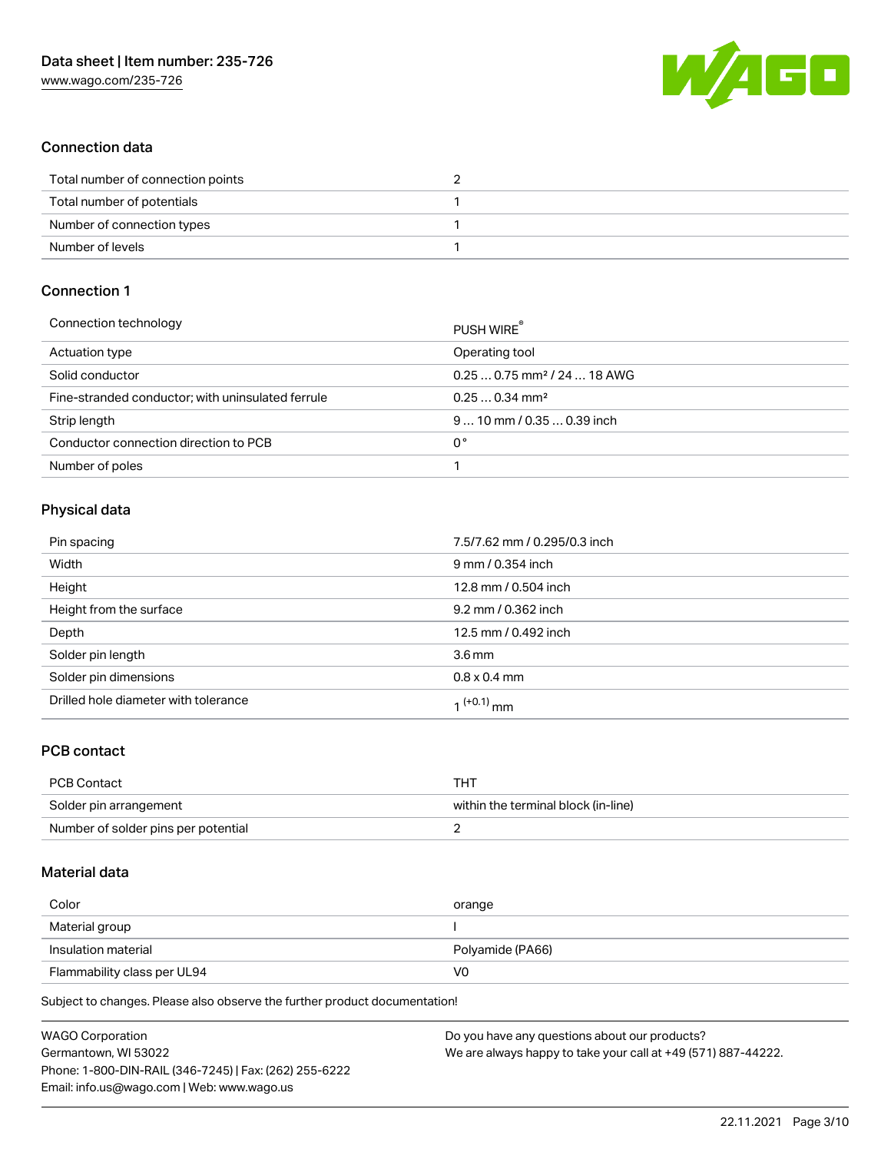

# Connection data

| Total number of connection points |  |
|-----------------------------------|--|
| Total number of potentials        |  |
| Number of connection types        |  |
| Number of levels                  |  |

# Connection 1

| Connection technology                             | PUSH WIRE                               |
|---------------------------------------------------|-----------------------------------------|
| Actuation type                                    | Operating tool                          |
| Solid conductor                                   | $0.250.75$ mm <sup>2</sup> / 24  18 AWG |
| Fine-stranded conductor; with uninsulated ferrule | $0.250.34$ mm <sup>2</sup>              |
| Strip length                                      | $910$ mm / 0.35  0.39 inch              |
| Conductor connection direction to PCB             | 0°                                      |
| Number of poles                                   |                                         |

# Physical data

| Pin spacing                          | 7.5/7.62 mm / 0.295/0.3 inch |
|--------------------------------------|------------------------------|
| Width                                | 9 mm / 0.354 inch            |
| Height                               | 12.8 mm / 0.504 inch         |
| Height from the surface              | 9.2 mm / 0.362 inch          |
| Depth                                | 12.5 mm / 0.492 inch         |
| Solder pin length                    | 3.6 <sub>mm</sub>            |
| Solder pin dimensions                | $0.8 \times 0.4$ mm          |
| Drilled hole diameter with tolerance | 1 <sup>(+0.1)</sup> mm       |

# PCB contact

| PCB Contact                         | THT                                 |
|-------------------------------------|-------------------------------------|
| Solder pin arrangement              | within the terminal block (in-line) |
| Number of solder pins per potential |                                     |

# Material data

| Color               | orange           |
|---------------------|------------------|
| Material group      |                  |
|                     |                  |
| Insulation material | Polyamide (PA66) |

Subject to changes. Please also observe the further product documentation!

| <b>WAGO Corporation</b>                                | Do you have any questions about our products?                 |
|--------------------------------------------------------|---------------------------------------------------------------|
| Germantown, WI 53022                                   | We are always happy to take your call at +49 (571) 887-44222. |
| Phone: 1-800-DIN-RAIL (346-7245)   Fax: (262) 255-6222 |                                                               |
| Email: info.us@wago.com   Web: www.wago.us             |                                                               |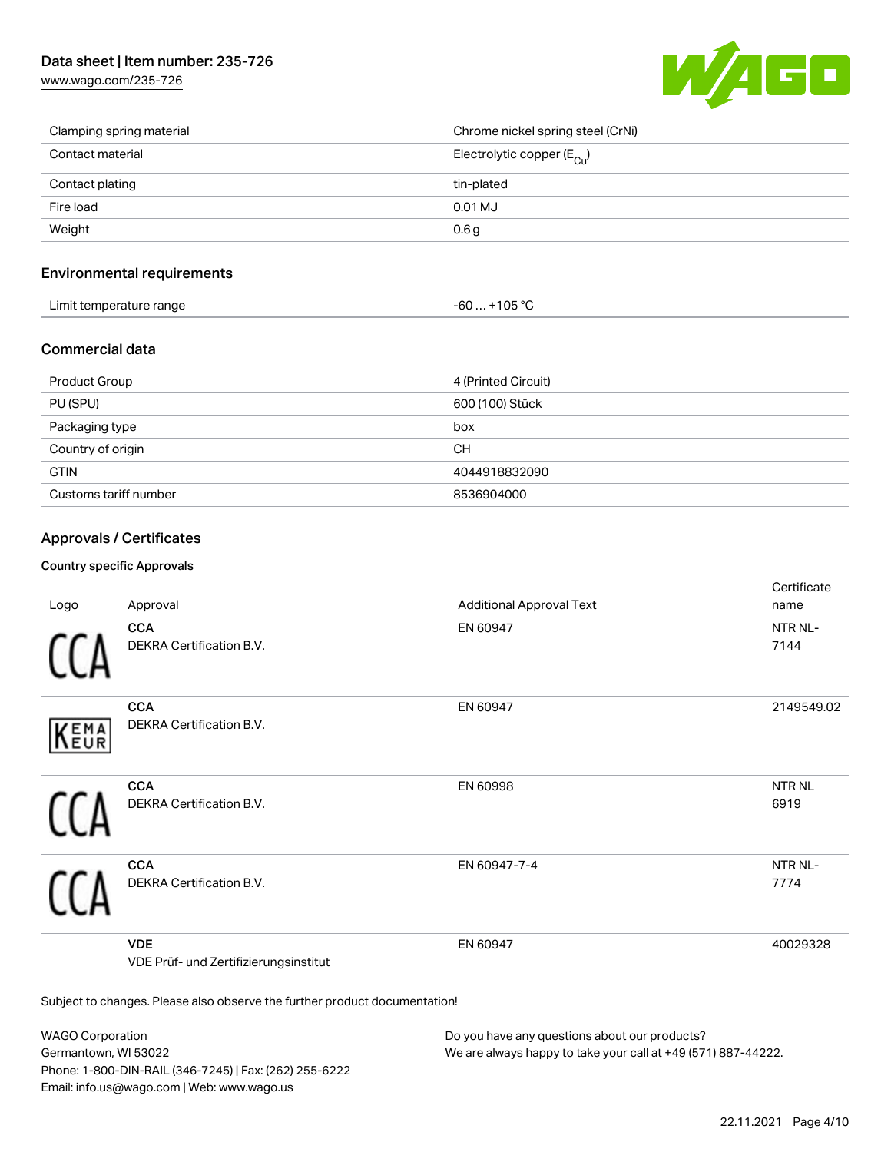

| Clamping spring material | Chrome nickel spring steel (CrNi)       |
|--------------------------|-----------------------------------------|
| Contact material         | Electrolytic copper ( $E_{\text{Cu}}$ ) |
| Contact plating          | tin-plated                              |
| Fire load                | 0.01 MJ                                 |
| Weight                   | 0.6 <sub>g</sub>                        |

# Environmental requirements

| Limit temperature range<br>. . | 105.00<br>юs<br>UU<br>. . |  |
|--------------------------------|---------------------------|--|
|--------------------------------|---------------------------|--|

# Commercial data

| Product Group         | 4 (Printed Circuit) |
|-----------------------|---------------------|
| PU (SPU)              | 600 (100) Stück     |
| Packaging type        | box                 |
| Country of origin     | CН                  |
| <b>GTIN</b>           | 4044918832090       |
| Customs tariff number | 8536904000          |

# Approvals / Certificates

# Country specific Approvals

| Logo       | Approval                                                                   | <b>Additional Approval Text</b> | Certificate<br>name  |  |  |
|------------|----------------------------------------------------------------------------|---------------------------------|----------------------|--|--|
|            | <b>CCA</b><br>DEKRA Certification B.V.                                     | EN 60947                        | NTR NL-<br>7144      |  |  |
| EMA<br>EUR | <b>CCA</b><br>DEKRA Certification B.V.                                     | EN 60947                        | 2149549.02           |  |  |
|            | <b>CCA</b><br>DEKRA Certification B.V.                                     | EN 60998                        | <b>NTRNL</b><br>6919 |  |  |
|            | <b>CCA</b><br>DEKRA Certification B.V.                                     | EN 60947-7-4                    | NTR NL-<br>7774      |  |  |
|            | <b>VDE</b><br>VDE Prüf- und Zertifizierungsinstitut                        | EN 60947                        | 40029328             |  |  |
|            | Subject to changes. Please also observe the further product documentation! |                                 |                      |  |  |

WAGO Corporation Germantown, WI 53022 Phone: 1-800-DIN-RAIL (346-7245) | Fax: (262) 255-6222 Email: info.us@wago.com | Web: www.wago.us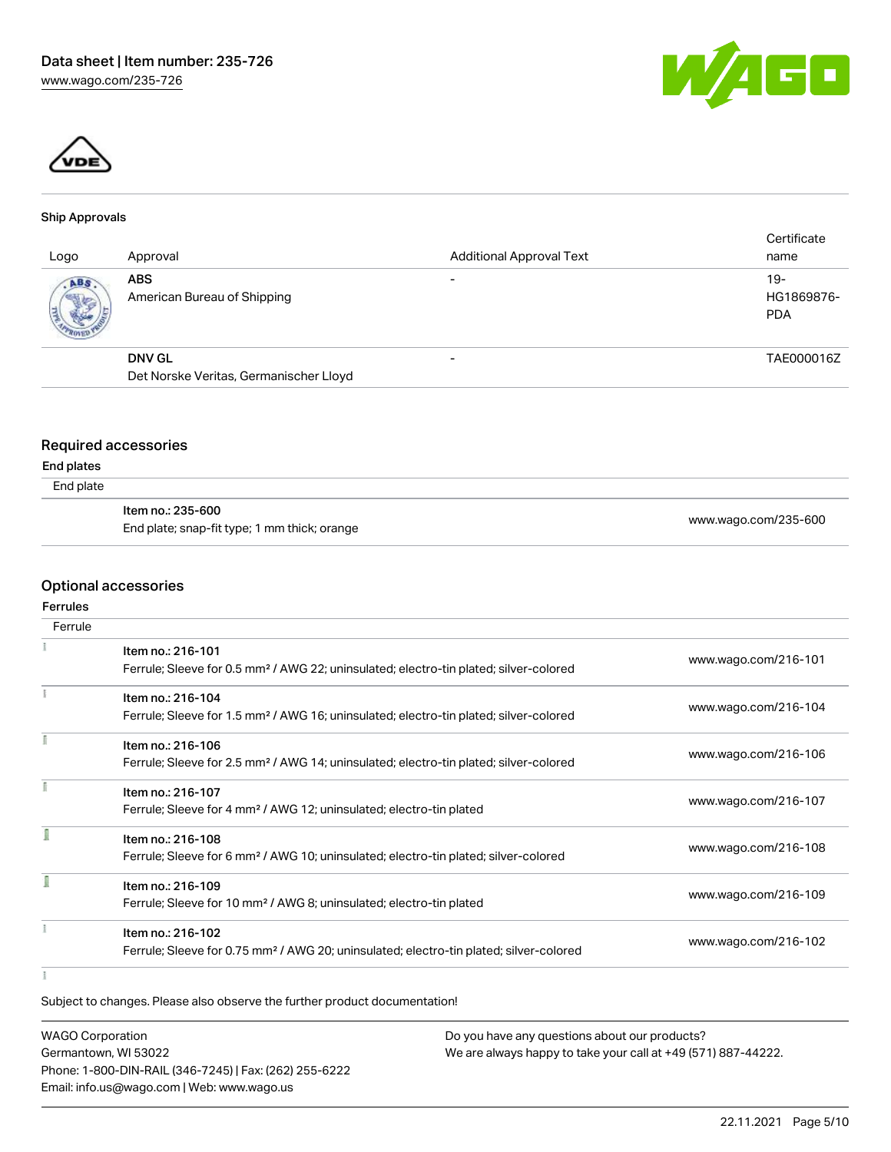



#### Ship Approvals

| Logo | Approval                                  | <b>Additional Approval Text</b> | Certificate<br>name               |
|------|-------------------------------------------|---------------------------------|-----------------------------------|
| ABS  | <b>ABS</b><br>American Bureau of Shipping | -                               | $19-$<br>HG1869876-<br><b>PDA</b> |
|      | <b>DNV GL</b>                             | -                               | TAE000016Z                        |
|      | Det Norske Veritas, Germanischer Lloyd    |                                 |                                   |

# Required accessories

#### End plates

End plate

| ltem no.: 235-600                            | www.wago.com/235-600 |
|----------------------------------------------|----------------------|
| End plate; snap-fit type; 1 mm thick; orange |                      |

# Optional accessories

# Ferrules

| Ferrule |                                                                                                    |                      |
|---------|----------------------------------------------------------------------------------------------------|----------------------|
|         | Item no.: 216-101                                                                                  |                      |
|         | Ferrule; Sleeve for 0.5 mm <sup>2</sup> / AWG 22; uninsulated; electro-tin plated; silver-colored  | www.wago.com/216-101 |
|         | Item no.: 216-104                                                                                  |                      |
|         | Ferrule; Sleeve for 1.5 mm <sup>2</sup> / AWG 16; uninsulated; electro-tin plated; silver-colored  | www.wago.com/216-104 |
|         | Item no.: 216-106                                                                                  |                      |
|         | Ferrule; Sleeve for 2.5 mm <sup>2</sup> / AWG 14; uninsulated; electro-tin plated; silver-colored  | www.wago.com/216-106 |
|         | Item no.: 216-107                                                                                  |                      |
|         | Ferrule; Sleeve for 4 mm <sup>2</sup> / AWG 12; uninsulated; electro-tin plated                    | www.wago.com/216-107 |
|         | Item no.: 216-108                                                                                  |                      |
|         | Ferrule; Sleeve for 6 mm <sup>2</sup> / AWG 10; uninsulated; electro-tin plated; silver-colored    | www.wago.com/216-108 |
|         | Item no.: 216-109                                                                                  |                      |
|         | Ferrule; Sleeve for 10 mm <sup>2</sup> / AWG 8; uninsulated; electro-tin plated                    | www.wago.com/216-109 |
|         | Item no.: 216-102                                                                                  |                      |
|         | Ferrule; Sleeve for 0.75 mm <sup>2</sup> / AWG 20; uninsulated; electro-tin plated; silver-colored | www.wago.com/216-102 |
|         |                                                                                                    |                      |

 $\frac{1}{3}$ 

Subject to changes. Please also observe the further product documentation!

| <b>WAGO Corporation</b>                                | Do you have any questions about our products?                 |
|--------------------------------------------------------|---------------------------------------------------------------|
| Germantown, WI 53022                                   | We are always happy to take your call at +49 (571) 887-44222. |
| Phone: 1-800-DIN-RAIL (346-7245)   Fax: (262) 255-6222 |                                                               |
| Email: info.us@wago.com   Web: www.wago.us             |                                                               |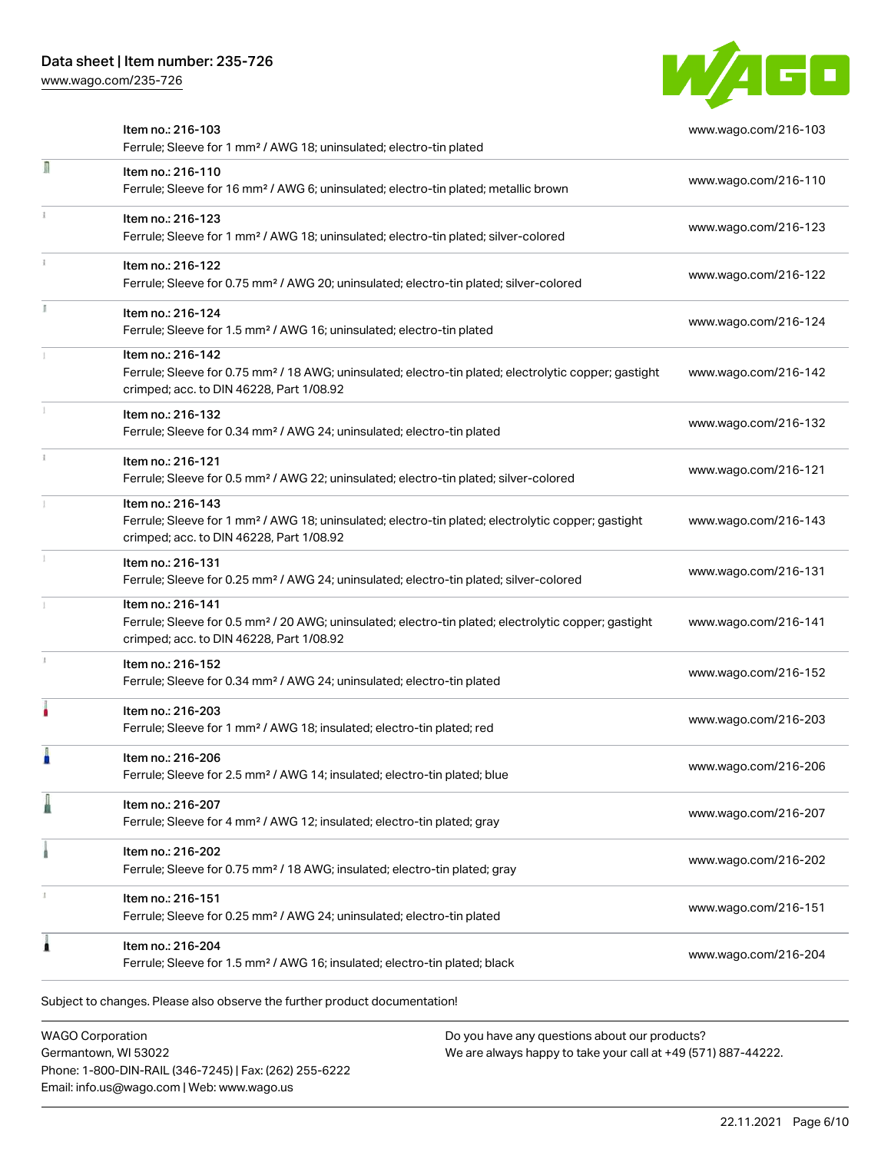

|   | Item no.: 216-103<br>Ferrule; Sleeve for 1 mm <sup>2</sup> / AWG 18; uninsulated; electro-tin plated                                                                               | www.wago.com/216-103 |
|---|------------------------------------------------------------------------------------------------------------------------------------------------------------------------------------|----------------------|
| n | Item no.: 216-110<br>Ferrule; Sleeve for 16 mm <sup>2</sup> / AWG 6; uninsulated; electro-tin plated; metallic brown                                                               | www.wago.com/216-110 |
|   | Item no.: 216-123<br>Ferrule; Sleeve for 1 mm <sup>2</sup> / AWG 18; uninsulated; electro-tin plated; silver-colored                                                               | www.wago.com/216-123 |
|   | Item no.: 216-122<br>Ferrule; Sleeve for 0.75 mm <sup>2</sup> / AWG 20; uninsulated; electro-tin plated; silver-colored                                                            | www.wago.com/216-122 |
|   | Item no.: 216-124<br>Ferrule; Sleeve for 1.5 mm <sup>2</sup> / AWG 16; uninsulated; electro-tin plated                                                                             | www.wago.com/216-124 |
|   | Item no.: 216-142<br>Ferrule; Sleeve for 0.75 mm <sup>2</sup> / 18 AWG; uninsulated; electro-tin plated; electrolytic copper; gastight<br>crimped; acc. to DIN 46228, Part 1/08.92 | www.wago.com/216-142 |
|   | Item no.: 216-132<br>Ferrule; Sleeve for 0.34 mm <sup>2</sup> / AWG 24; uninsulated; electro-tin plated                                                                            | www.wago.com/216-132 |
|   | Item no.: 216-121<br>Ferrule; Sleeve for 0.5 mm <sup>2</sup> / AWG 22; uninsulated; electro-tin plated; silver-colored                                                             | www.wago.com/216-121 |
|   | Item no.: 216-143<br>Ferrule; Sleeve for 1 mm <sup>2</sup> / AWG 18; uninsulated; electro-tin plated; electrolytic copper; gastight<br>crimped; acc. to DIN 46228, Part 1/08.92    | www.wago.com/216-143 |
|   | Item no.: 216-131<br>Ferrule; Sleeve for 0.25 mm <sup>2</sup> / AWG 24; uninsulated; electro-tin plated; silver-colored                                                            | www.wago.com/216-131 |
|   | Item no.: 216-141<br>Ferrule; Sleeve for 0.5 mm <sup>2</sup> / 20 AWG; uninsulated; electro-tin plated; electrolytic copper; gastight<br>crimped; acc. to DIN 46228, Part 1/08.92  | www.wago.com/216-141 |
|   | Item no.: 216-152<br>Ferrule; Sleeve for 0.34 mm <sup>2</sup> / AWG 24; uninsulated; electro-tin plated                                                                            | www.wago.com/216-152 |
|   | ltem no.: 216-203<br>Ferrule; Sleeve for 1 mm <sup>2</sup> / AWG 18; insulated; electro-tin plated; red                                                                            | www.wago.com/216-203 |
|   | Item no.: 216-206<br>Ferrule; Sleeve for 2.5 mm <sup>2</sup> / AWG 14; insulated; electro-tin plated; blue                                                                         | www.wago.com/216-206 |
|   | Item no.: 216-207<br>Ferrule; Sleeve for 4 mm <sup>2</sup> / AWG 12; insulated; electro-tin plated; gray                                                                           | www.wago.com/216-207 |
|   | Item no.: 216-202<br>Ferrule; Sleeve for 0.75 mm <sup>2</sup> / 18 AWG; insulated; electro-tin plated; gray                                                                        | www.wago.com/216-202 |
|   | Item no.: 216-151<br>Ferrule; Sleeve for 0.25 mm <sup>2</sup> / AWG 24; uninsulated; electro-tin plated                                                                            | www.wago.com/216-151 |
|   | Item no.: 216-204<br>Ferrule; Sleeve for 1.5 mm <sup>2</sup> / AWG 16; insulated; electro-tin plated; black                                                                        | www.wago.com/216-204 |

WAGO Corporation Germantown, WI 53022 Phone: 1-800-DIN-RAIL (346-7245) | Fax: (262) 255-6222 Email: info.us@wago.com | Web: www.wago.us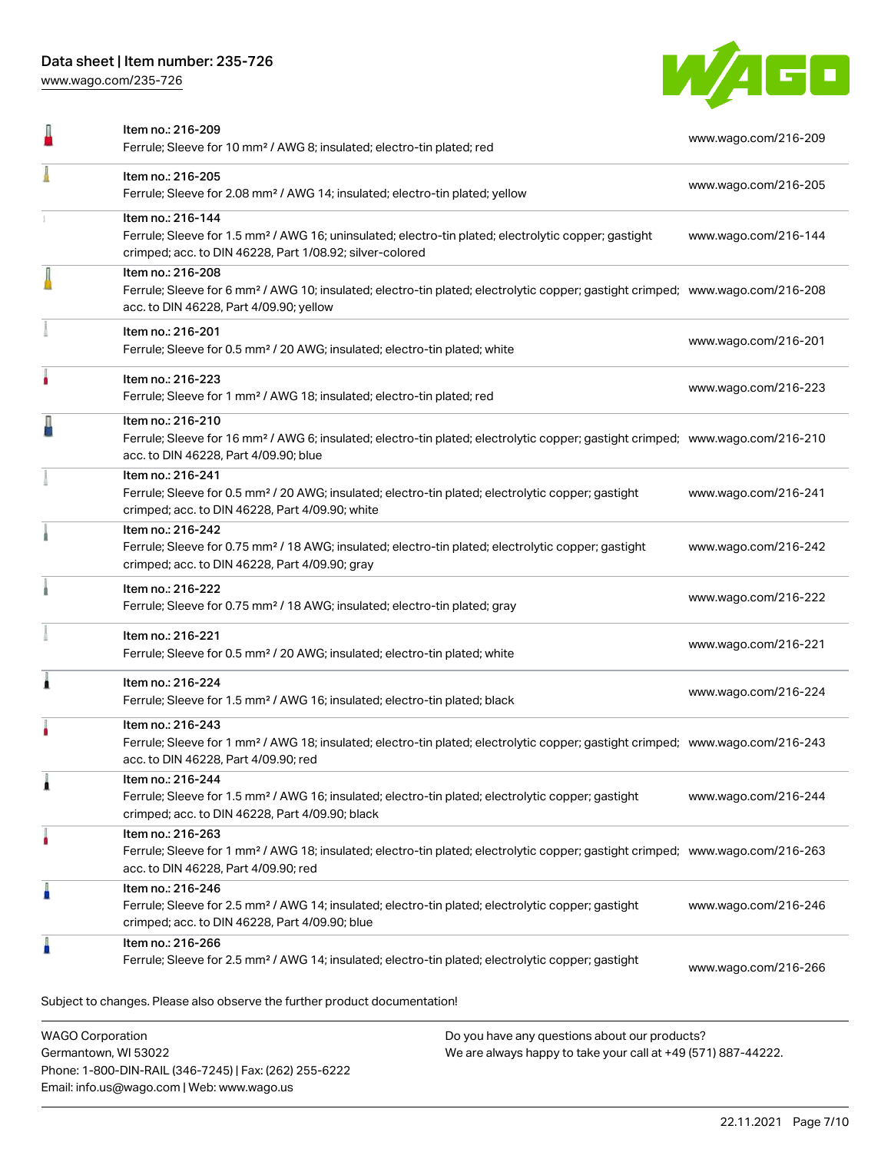# Data sheet | Item number: 235-726

[www.wago.com/235-726](http://www.wago.com/235-726)



|   | Item no.: 216-209<br>Ferrule; Sleeve for 10 mm <sup>2</sup> / AWG 8; insulated; electro-tin plated; red                                                                                                    | www.wago.com/216-209 |
|---|------------------------------------------------------------------------------------------------------------------------------------------------------------------------------------------------------------|----------------------|
|   | Item no.: 216-205<br>Ferrule; Sleeve for 2.08 mm <sup>2</sup> / AWG 14; insulated; electro-tin plated; yellow                                                                                              | www.wago.com/216-205 |
|   | Item no.: 216-144<br>Ferrule; Sleeve for 1.5 mm <sup>2</sup> / AWG 16; uninsulated; electro-tin plated; electrolytic copper; gastight<br>crimped; acc. to DIN 46228, Part 1/08.92; silver-colored          | www.wago.com/216-144 |
|   | Item no.: 216-208<br>Ferrule; Sleeve for 6 mm <sup>2</sup> / AWG 10; insulated; electro-tin plated; electrolytic copper; gastight crimped; www.wago.com/216-208<br>acc. to DIN 46228, Part 4/09.90; yellow |                      |
|   | Item no.: 216-201<br>Ferrule; Sleeve for 0.5 mm <sup>2</sup> / 20 AWG; insulated; electro-tin plated; white                                                                                                | www.wago.com/216-201 |
|   | Item no.: 216-223<br>Ferrule; Sleeve for 1 mm <sup>2</sup> / AWG 18; insulated; electro-tin plated; red                                                                                                    | www.wago.com/216-223 |
|   | Item no.: 216-210<br>Ferrule; Sleeve for 16 mm <sup>2</sup> / AWG 6; insulated; electro-tin plated; electrolytic copper; gastight crimped; www.wago.com/216-210<br>acc. to DIN 46228, Part 4/09.90; blue   |                      |
|   | Item no.: 216-241<br>Ferrule; Sleeve for 0.5 mm <sup>2</sup> / 20 AWG; insulated; electro-tin plated; electrolytic copper; gastight<br>crimped; acc. to DIN 46228, Part 4/09.90; white                     | www.wago.com/216-241 |
|   | Item no.: 216-242<br>Ferrule; Sleeve for 0.75 mm <sup>2</sup> / 18 AWG; insulated; electro-tin plated; electrolytic copper; gastight<br>crimped; acc. to DIN 46228, Part 4/09.90; gray                     | www.wago.com/216-242 |
|   | Item no.: 216-222<br>Ferrule; Sleeve for 0.75 mm <sup>2</sup> / 18 AWG; insulated; electro-tin plated; gray                                                                                                | www.wago.com/216-222 |
|   | Item no.: 216-221<br>Ferrule; Sleeve for 0.5 mm <sup>2</sup> / 20 AWG; insulated; electro-tin plated; white                                                                                                | www.wago.com/216-221 |
| 1 | Item no.: 216-224<br>Ferrule; Sleeve for 1.5 mm <sup>2</sup> / AWG 16; insulated; electro-tin plated; black                                                                                                | www.wago.com/216-224 |
|   | Item no.: 216-243<br>Ferrule; Sleeve for 1 mm <sup>2</sup> / AWG 18; insulated; electro-tin plated; electrolytic copper; gastight crimped; www.wago.com/216-243<br>acc. to DIN 46228, Part 4/09.90; red    |                      |
|   | ltem no.: 216-244<br>Ferrule; Sleeve for 1.5 mm <sup>2</sup> / AWG 16; insulated; electro-tin plated; electrolytic copper; gastight<br>crimped; acc. to DIN 46228, Part 4/09.90; black                     | www.wago.com/216-244 |
|   | Item no.: 216-263<br>Ferrule; Sleeve for 1 mm <sup>2</sup> / AWG 18; insulated; electro-tin plated; electrolytic copper; gastight crimped; www.wago.com/216-263<br>acc. to DIN 46228, Part 4/09.90; red    |                      |
|   | Item no.: 216-246<br>Ferrule; Sleeve for 2.5 mm <sup>2</sup> / AWG 14; insulated; electro-tin plated; electrolytic copper; gastight<br>crimped; acc. to DIN 46228, Part 4/09.90; blue                      | www.wago.com/216-246 |
|   | Item no.: 216-266<br>Ferrule; Sleeve for 2.5 mm <sup>2</sup> / AWG 14; insulated; electro-tin plated; electrolytic copper; gastight                                                                        | www.wago.com/216-266 |
|   | Subject to changes. Please also observe the further product documentation!                                                                                                                                 |                      |

WAGO Corporation Germantown, WI 53022 Phone: 1-800-DIN-RAIL (346-7245) | Fax: (262) 255-6222 Email: info.us@wago.com | Web: www.wago.us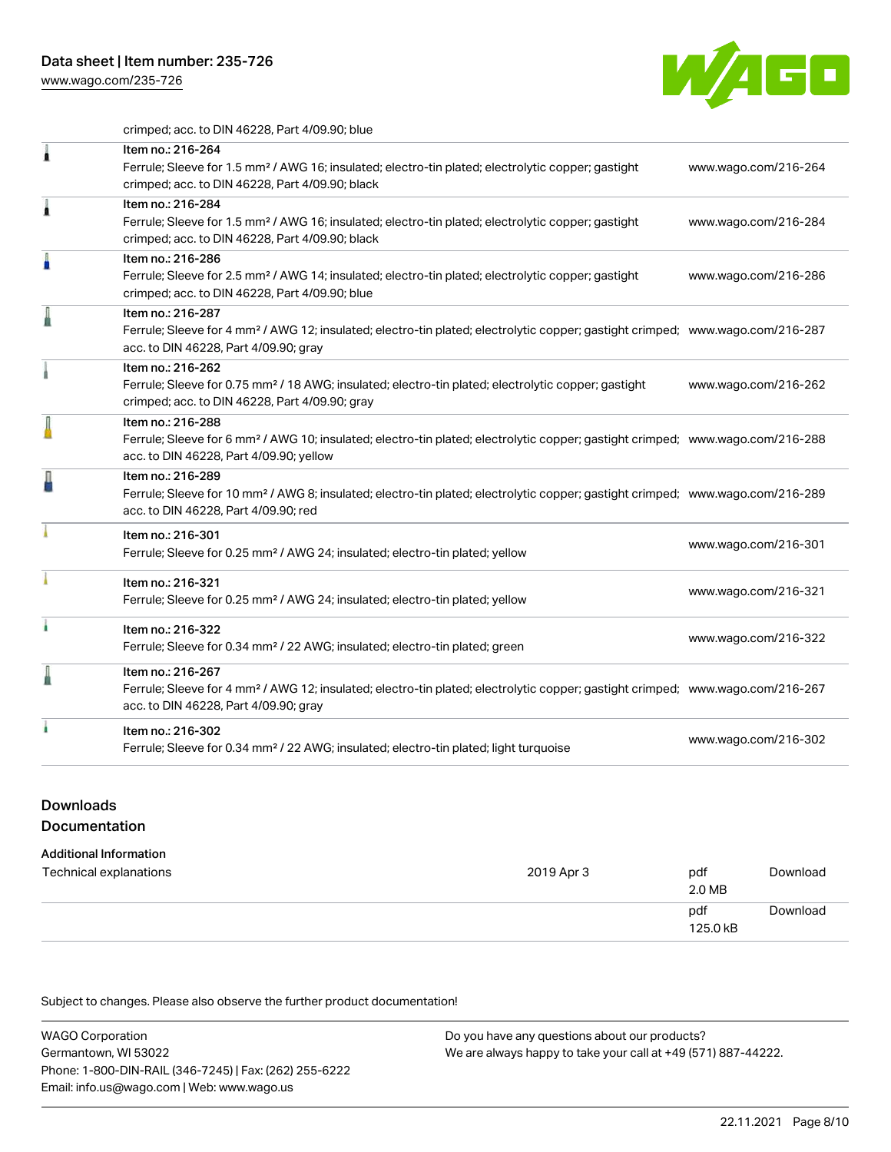

crimped; acc. to DIN 46228, Part 4/09.90; blue

| 1 | Item no.: 216-264<br>Ferrule; Sleeve for 1.5 mm <sup>2</sup> / AWG 16; insulated; electro-tin plated; electrolytic copper; gastight<br>crimped; acc. to DIN 46228, Part 4/09.90; black                     | www.wago.com/216-264 |
|---|------------------------------------------------------------------------------------------------------------------------------------------------------------------------------------------------------------|----------------------|
| Ă | Item no.: 216-284<br>Ferrule; Sleeve for 1.5 mm <sup>2</sup> / AWG 16; insulated; electro-tin plated; electrolytic copper; gastight<br>crimped; acc. to DIN 46228, Part 4/09.90; black                     | www.wago.com/216-284 |
| A | Item no.: 216-286<br>Ferrule; Sleeve for 2.5 mm <sup>2</sup> / AWG 14; insulated; electro-tin plated; electrolytic copper; gastight<br>crimped; acc. to DIN 46228, Part 4/09.90; blue                      | www.wago.com/216-286 |
|   | Item no.: 216-287<br>Ferrule; Sleeve for 4 mm <sup>2</sup> / AWG 12; insulated; electro-tin plated; electrolytic copper; gastight crimped; www.wago.com/216-287<br>acc. to DIN 46228, Part 4/09.90; gray   |                      |
|   | Item no.: 216-262<br>Ferrule; Sleeve for 0.75 mm <sup>2</sup> / 18 AWG; insulated; electro-tin plated; electrolytic copper; gastight<br>crimped; acc. to DIN 46228, Part 4/09.90; gray                     | www.wago.com/216-262 |
|   | Item no.: 216-288<br>Ferrule; Sleeve for 6 mm <sup>2</sup> / AWG 10; insulated; electro-tin plated; electrolytic copper; gastight crimped; www.wago.com/216-288<br>acc. to DIN 46228, Part 4/09.90; yellow |                      |
|   | Item no.: 216-289<br>Ferrule; Sleeve for 10 mm <sup>2</sup> / AWG 8; insulated; electro-tin plated; electrolytic copper; gastight crimped; www.wago.com/216-289<br>acc. to DIN 46228, Part 4/09.90; red    |                      |
|   | Item no.: 216-301<br>Ferrule; Sleeve for 0.25 mm <sup>2</sup> / AWG 24; insulated; electro-tin plated; yellow                                                                                              | www.wago.com/216-301 |
|   | Item no.: 216-321<br>Ferrule; Sleeve for 0.25 mm <sup>2</sup> / AWG 24; insulated; electro-tin plated; yellow                                                                                              | www.wago.com/216-321 |
|   | Item no.: 216-322<br>Ferrule; Sleeve for 0.34 mm <sup>2</sup> / 22 AWG; insulated; electro-tin plated; green                                                                                               | www.wago.com/216-322 |
|   | Item no.: 216-267<br>Ferrule; Sleeve for 4 mm <sup>2</sup> / AWG 12; insulated; electro-tin plated; electrolytic copper; gastight crimped; www.wago.com/216-267<br>acc. to DIN 46228, Part 4/09.90; gray   |                      |
|   | Item no.: 216-302<br>Ferrule; Sleeve for 0.34 mm <sup>2</sup> / 22 AWG; insulated; electro-tin plated; light turquoise                                                                                     | www.wago.com/216-302 |
|   |                                                                                                                                                                                                            |                      |

# Downloads **Documentation**

# Additional Information

| Technical explanations | 2019 Apr 3 | pdf<br>2.0 MB   | Download |
|------------------------|------------|-----------------|----------|
|                        |            | pdf<br>125.0 kB | Download |

Subject to changes. Please also observe the further product documentation!

WAGO Corporation Germantown, WI 53022 Phone: 1-800-DIN-RAIL (346-7245) | Fax: (262) 255-6222 Email: info.us@wago.com | Web: www.wago.us Do you have any questions about our products? We are always happy to take your call at +49 (571) 887-44222.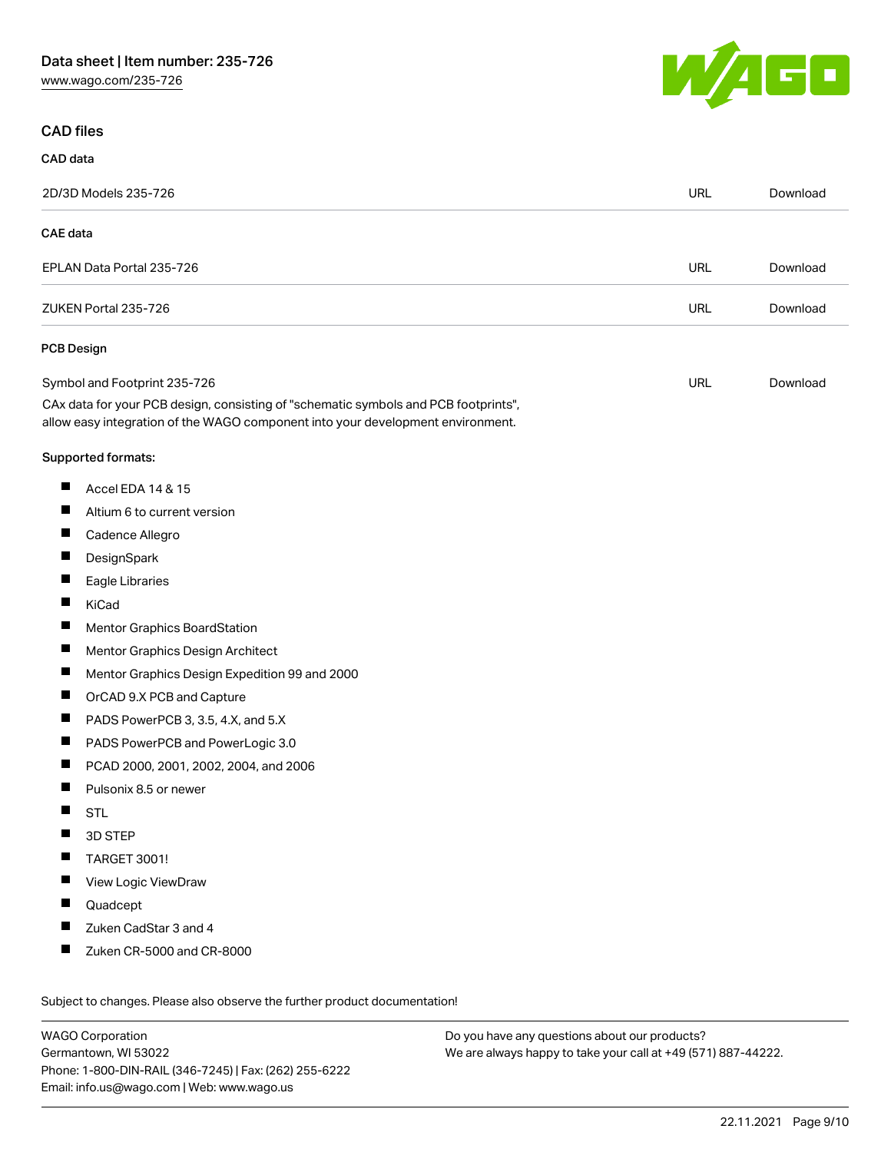

# CAD files

| CAD data                                                                                                                                                               |            |          |
|------------------------------------------------------------------------------------------------------------------------------------------------------------------------|------------|----------|
| 2D/3D Models 235-726                                                                                                                                                   | <b>URL</b> | Download |
| <b>CAE</b> data                                                                                                                                                        |            |          |
| EPLAN Data Portal 235-726                                                                                                                                              | <b>URL</b> | Download |
| ZUKEN Portal 235-726                                                                                                                                                   | <b>URL</b> | Download |
| <b>PCB Design</b>                                                                                                                                                      |            |          |
| Symbol and Footprint 235-726                                                                                                                                           | URL        | Download |
| CAx data for your PCB design, consisting of "schematic symbols and PCB footprints",<br>allow easy integration of the WAGO component into your development environment. |            |          |
| Supported formats:                                                                                                                                                     |            |          |
| ш<br>Accel EDA 14 & 15                                                                                                                                                 |            |          |
| П<br>Altium 6 to current version                                                                                                                                       |            |          |
| ш<br>Cadence Allegro                                                                                                                                                   |            |          |
| Ш<br>DesignSpark                                                                                                                                                       |            |          |
| П<br>Eagle Libraries                                                                                                                                                   |            |          |
| ш<br>KiCad                                                                                                                                                             |            |          |
| Ш<br><b>Mentor Graphics BoardStation</b>                                                                                                                               |            |          |
| п<br>Mentor Graphics Design Architect                                                                                                                                  |            |          |
| ш<br>Mentor Graphics Design Expedition 99 and 2000                                                                                                                     |            |          |
| ш<br>OrCAD 9.X PCB and Capture                                                                                                                                         |            |          |
| ш<br>PADS PowerPCB 3, 3.5, 4.X, and 5.X                                                                                                                                |            |          |
| ш<br>PADS PowerPCB and PowerLogic 3.0                                                                                                                                  |            |          |
| П<br>PCAD 2000, 2001, 2002, 2004, and 2006                                                                                                                             |            |          |
| ш<br>Pulsonix 8.5 or newer                                                                                                                                             |            |          |
| Ш<br><b>STL</b>                                                                                                                                                        |            |          |
| 3D STEP                                                                                                                                                                |            |          |
| <b>TARGET 3001!</b>                                                                                                                                                    |            |          |
| View Logic ViewDraw<br>ш                                                                                                                                               |            |          |
| ш<br>Quadcept                                                                                                                                                          |            |          |
| Zuken CadStar 3 and 4<br>П                                                                                                                                             |            |          |
| Zuken CR-5000 and CR-8000<br>ш                                                                                                                                         |            |          |
| Subject to changes. Please also observe the further product documentation!                                                                                             |            |          |

WAGO Corporation Germantown, WI 53022 Phone: 1-800-DIN-RAIL (346-7245) | Fax: (262) 255-6222 Email: info.us@wago.com | Web: www.wago.us